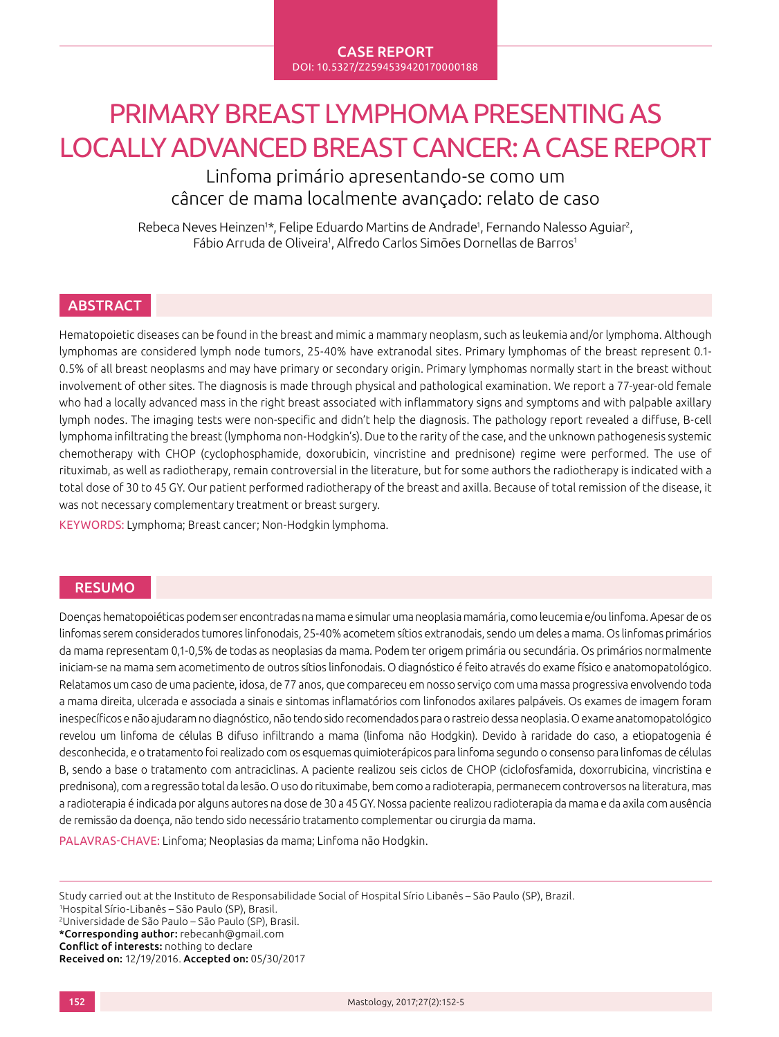# PRIMARY BREAST LYMPHOMA PRESENTING AS LOCALLY ADVANCED BREAST CANCER: A CASE REPORT

Linfoma primário apresentando-se como um câncer de mama localmente avançado: relato de caso

Rebeca Neves Heinzen<sup>1\*</sup>, Felipe Eduardo Martins de Andrade<sup>1</sup>, Fernando Nalesso Aguiar<sup>2</sup>, Fábio Arruda de Oliveira<sup>1</sup>, Alfredo Carlos Simões Dornellas de Barros<sup>1</sup>

## **ABSTRACT**

Hematopoietic diseases can be found in the breast and mimic a mammary neoplasm, such as leukemia and/or lymphoma. Although lymphomas are considered lymph node tumors, 25-40% have extranodal sites. Primary lymphomas of the breast represent 0.1- 0.5% of all breast neoplasms and may have primary or secondary origin. Primary lymphomas normally start in the breast without involvement of other sites. The diagnosis is made through physical and pathological examination. We report a 77-year-old female who had a locally advanced mass in the right breast associated with inflammatory signs and symptoms and with palpable axillary lymph nodes. The imaging tests were non-specific and didn't help the diagnosis. The pathology report revealed a diffuse, B-cell lymphoma infiltrating the breast (lymphoma non-Hodgkin's). Due to the rarity of the case, and the unknown pathogenesis systemic chemotherapy with CHOP (cyclophosphamide, doxorubicin, vincristine and prednisone) regime were performed. The use of rituximab, as well as radiotherapy, remain controversial in the literature, but for some authors the radiotherapy is indicated with a total dose of 30 to 45 GY. Our patient performed radiotherapy of the breast and axilla. Because of total remission of the disease, it was not necessary complementary treatment or breast surgery.

KEYWORDS: Lymphoma; Breast cancer; Non-Hodgkin lymphoma.

### RESUMO

Doenças hematopoiéticas podem ser encontradas na mama e simular uma neoplasia mamária, como leucemia e/ou linfoma. Apesar de os linfomas serem considerados tumores linfonodais, 25-40% acometem sítios extranodais, sendo um deles a mama. Os linfomas primários da mama representam 0,1-0,5% de todas as neoplasias da mama. Podem ter origem primária ou secundária. Os primários normalmente iniciam-se na mama sem acometimento de outros sítios linfonodais. O diagnóstico é feito através do exame físico e anatomopatológico. Relatamos um caso de uma paciente, idosa, de 77 anos, que compareceu em nosso serviço com uma massa progressiva envolvendo toda a mama direita, ulcerada e associada a sinais e sintomas inflamatórios com linfonodos axilares palpáveis. Os exames de imagem foram inespecíficos e não ajudaram no diagnóstico, não tendo sido recomendados para o rastreio dessa neoplasia. O exame anatomopatológico revelou um linfoma de células B difuso infiltrando a mama (linfoma não Hodgkin). Devido à raridade do caso, a etiopatogenia é desconhecida, e o tratamento foi realizado com os esquemas quimioterápicos para linfoma segundo o consenso para linfomas de células B, sendo a base o tratamento com antraciclinas. A paciente realizou seis ciclos de CHOP (ciclofosfamida, doxorrubicina, vincristina e prednisona), com a regressão total da lesão. O uso do rituximabe, bem como a radioterapia, permanecem controversos na literatura, mas a radioterapia é indicada por alguns autores na dose de 30 a 45 GY. Nossa paciente realizou radioterapia da mama e da axila com ausência de remissão da doença, não tendo sido necessário tratamento complementar ou cirurgia da mama.

PALAVRAS-CHAVE: Linfoma; Neoplasias da mama; Linfoma não Hodgkin.

Study carried out at the Instituto de Responsabilidade Social of Hospital Sírio Libanês – São Paulo (SP), Brazil.

1 Hospital Sírio-Libanês – São Paulo (SP), Brasil. 2 Universidade de São Paulo – São Paulo (SP), Brasil. \*Corresponding author: rebecanh@gmail.com

Conflict of interests: nothing to declare

Received on: 12/19/2016. Accepted on: 05/30/2017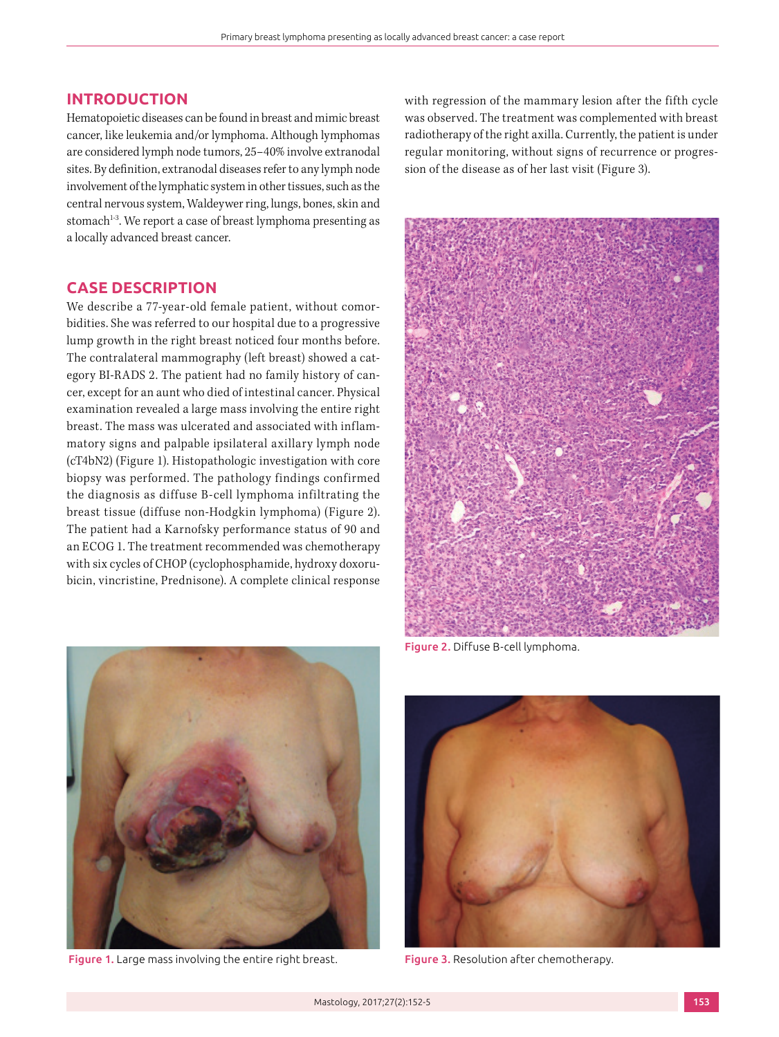#### **INTRODUCTION**

Hematopoietic diseases can be found in breast and mimic breast cancer, like leukemia and/or lymphoma. Although lymphomas are considered lymph node tumors, 25–40% involve extranodal sites. By definition, extranodal diseases refer to any lymph node involvement of the lymphatic system in other tissues, such as the central nervous system, Waldeywer ring, lungs, bones, skin and stomach<sup>1-3</sup>. We report a case of breast lymphoma presenting as a locally advanced breast cancer.

## **CASE DESCRIPTION**

We describe a 77-year-old female patient, without comorbidities. She was referred to our hospital due to a progressive lump growth in the right breast noticed four months before. The contralateral mammography (left breast) showed a category BI-RADS 2. The patient had no family history of cancer, except for an aunt who died of intestinal cancer. Physical examination revealed a large mass involving the entire right breast. The mass was ulcerated and associated with inflammatory signs and palpable ipsilateral axillary lymph node (cT4bN2) (Figure 1). Histopathologic investigation with core biopsy was performed. The pathology findings confirmed the diagnosis as diffuse B-cell lymphoma infiltrating the breast tissue (diffuse non-Hodgkin lymphoma) (Figure 2). The patient had a Karnofsky performance status of 90 and an ECOG 1. The treatment recommended was chemotherapy with six cycles of CHOP (cyclophosphamide, hydroxy doxorubicin, vincristine, Prednisone). A complete clinical response





Figure 2. Diffuse B-cell lymphoma.



Figure 1. Large mass involving the entire right breast. Figure 3. Resolution after chemotherapy.

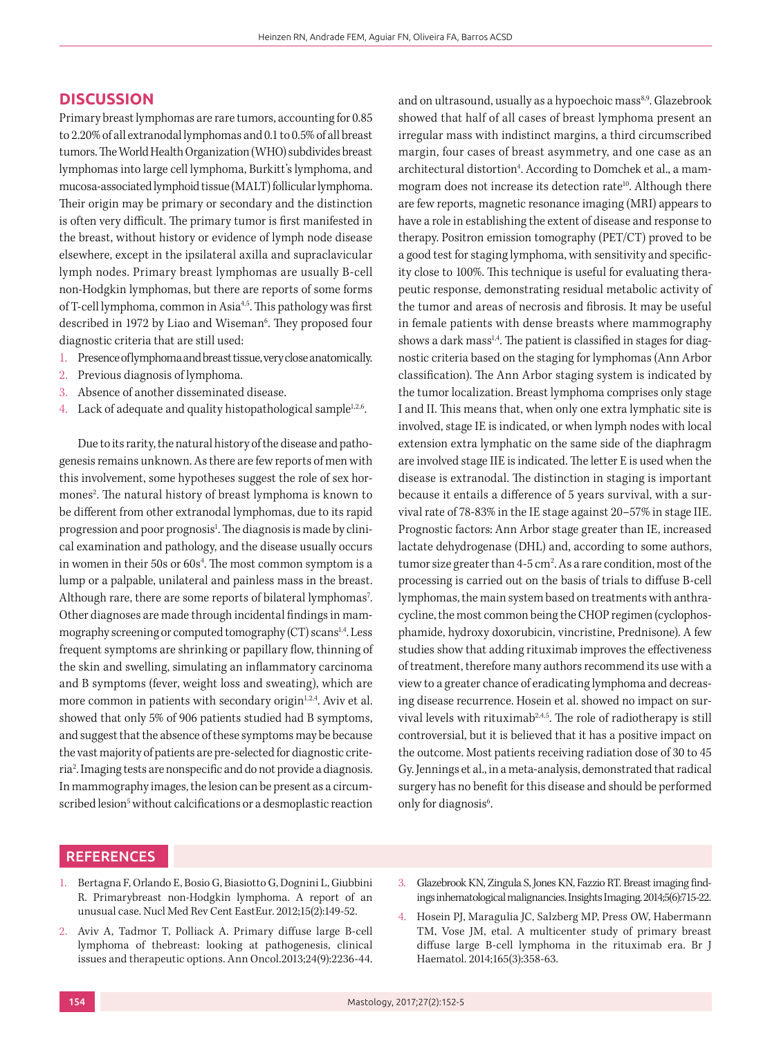#### **DISCUSSION**

Primary breast lymphomas are rare tumors, accounting for 0.85 to 2.20% of all extranodal lymphomas and 0.1 to 0.5% of all breast tumors. The World Health Organization (WHO) subdivides breast lymphomas into large cell lymphoma, Burkitt's lymphoma, and mucosa-associated lymphoid tissue (MALT) follicular lymphoma. Their origin may be primary or secondary and the distinction is often very difficult. The primary tumor is first manifested in the breast, without history or evidence of lymph node disease elsewhere, except in the ipsilateral axilla and supraclavicular lymph nodes. Primary breast lymphomas are usually B-cell non-Hodgkin lymphomas, but there are reports of some forms of T-cell lymphoma, common in Asia<sup>4,5</sup>. This pathology was first described in 1972 by Liao and Wiseman<sup>6</sup>. They proposed four diagnostic criteria that are still used:

- 1. Presence of lymphoma and breast tissue, very close anatomically.
- 2. Previous diagnosis of lymphoma.
- 3. Absence of another disseminated disease.
- 4. Lack of adequate and quality histopathological sample $1,2,6$ .

Due to its rarity, the natural history of the disease and pathogenesis remains unknown. As there are few reports of men with this involvement, some hypotheses suggest the role of sex hormones<sup>2</sup>. The natural history of breast lymphoma is known to be different from other extranodal lymphomas, due to its rapid progression and poor prognosis<sup>1</sup>. The diagnosis is made by clinical examination and pathology, and the disease usually occurs in women in their 50s or 60s<sup>4</sup>. The most common symptom is a lump or a palpable, unilateral and painless mass in the breast. Although rare, there are some reports of bilateral lymphomas<sup>7</sup>. Other diagnoses are made through incidental findings in mammography screening or computed tomography  $(CT)$  scans<sup>1,4</sup>. Less frequent symptoms are shrinking or papillary flow, thinning of the skin and swelling, simulating an inflammatory carcinoma and B symptoms (fever, weight loss and sweating), which are more common in patients with secondary origin $1,2,4$ . Aviv et al. showed that only 5% of 906 patients studied had B symptoms, and suggest that the absence of these symptoms may be because the vast majority of patients are pre-selected for diagnostic criteria2 . Imaging tests are nonspecific and do not provide a diagnosis. In mammography images, the lesion can be present as a circumscribed lesion<sup>5</sup> without calcifications or a desmoplastic reaction and on ultrasound, usually as a hypoechoic mass<sup>8,9</sup>. Glazebrook showed that half of all cases of breast lymphoma present an irregular mass with indistinct margins, a third circumscribed margin, four cases of breast asymmetry, and one case as an architectural distortion<sup>4</sup>. According to Domchek et al., a mammogram does not increase its detection rate<sup>10</sup>. Although there are few reports, magnetic resonance imaging (MRI) appears to have a role in establishing the extent of disease and response to therapy. Positron emission tomography (PET/CT) proved to be a good test for staging lymphoma, with sensitivity and specificity close to 100%. This technique is useful for evaluating therapeutic response, demonstrating residual metabolic activity of the tumor and areas of necrosis and fibrosis. It may be useful in female patients with dense breasts where mammography shows a dark mass<sup>1,4</sup>. The patient is classified in stages for diagnostic criteria based on the staging for lymphomas (Ann Arbor classification). The Ann Arbor staging system is indicated by the tumor localization. Breast lymphoma comprises only stage I and II. This means that, when only one extra lymphatic site is involved, stage IE is indicated, or when lymph nodes with local extension extra lymphatic on the same side of the diaphragm are involved stage IIE is indicated. The letter E is used when the disease is extranodal. The distinction in staging is important because it entails a difference of 5 years survival, with a survival rate of 78-83% in the IE stage against 20–57% in stage IIE. Prognostic factors: Ann Arbor stage greater than IE, increased lactate dehydrogenase (DHL) and, according to some authors, tumor size greater than  $4-5$  cm<sup>2</sup>. As a rare condition, most of the processing is carried out on the basis of trials to diffuse B-cell lymphomas, the main system based on treatments with anthracycline, the most common being the CHOP regimen (cyclophosphamide, hydroxy doxorubicin, vincristine, Prednisone). A few studies show that adding rituximab improves the effectiveness of treatment, therefore many authors recommend its use with a view to a greater chance of eradicating lymphoma and decreasing disease recurrence. Hosein et al. showed no impact on survival levels with rituximab<sup>2,4,5</sup>. The role of radiotherapy is still controversial, but it is believed that it has a positive impact on the outcome. Most patients receiving radiation dose of 30 to 45 Gy. Jennings et al., in a meta-analysis, demonstrated that radical surgery has no benefit for this disease and should be performed only for diagnosis<sup>6</sup>.

#### **REFERENCES**

- 1. Bertagna F, Orlando E, Bosio G, Biasiotto G, Dognini L, Giubbini R. Primarybreast non-Hodgkin lymphoma. A report of an unusual case. Nucl Med Rev Cent EastEur. 2012;15(2):149-52.
- 2. Aviv A, Tadmor T, Polliack A. Primary diffuse large B-cell lymphoma of thebreast: looking at pathogenesis, clinical issues and therapeutic options. Ann Oncol.2013;24(9):2236-44.
- 3. Glazebrook KN, Zingula S, Jones KN, Fazzio RT. Breast imaging findings inhematological malignancies. Insights Imaging. 2014;5(6):715-22.
- 4. Hosein PJ, Maragulia JC, Salzberg MP, Press OW, Habermann TM, Vose JM, etal. A multicenter study of primary breast diffuse large B-cell lymphoma in the rituximab era. Br J Haematol. 2014;165(3):358-63.